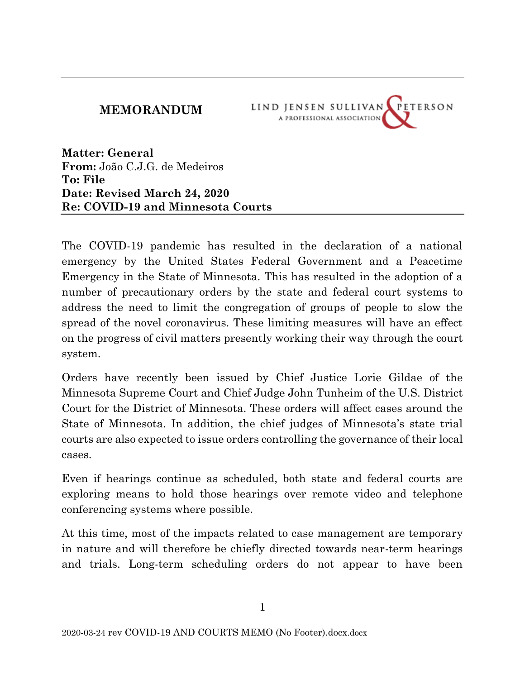#### **MEMORANDUM**



**Matter: General From:** João C.J.G. de Medeiros **To: File Date: Revised March 24, 2020 Re: COVID-19 and Minnesota Courts**

The COVID-19 pandemic has resulted in the declaration of a national emergency by the United States Federal Government and a Peacetime Emergency in the State of Minnesota. This has resulted in the adoption of a number of precautionary orders by the state and federal court systems to address the need to limit the congregation of groups of people to slow the spread of the novel coronavirus. These limiting measures will have an effect on the progress of civil matters presently working their way through the court system.

Orders have recently been issued by Chief Justice Lorie Gildae of the Minnesota Supreme Court and Chief Judge John Tunheim of the U.S. District Court for the District of Minnesota. These orders will affect cases around the State of Minnesota. In addition, the chief judges of Minnesota's state trial courts are also expected to issue orders controlling the governance of their local cases.

Even if hearings continue as scheduled, both state and federal courts are exploring means to hold those hearings over remote video and telephone conferencing systems where possible.

At this time, most of the impacts related to case management are temporary in nature and will therefore be chiefly directed towards near-term hearings and trials. Long-term scheduling orders do not appear to have been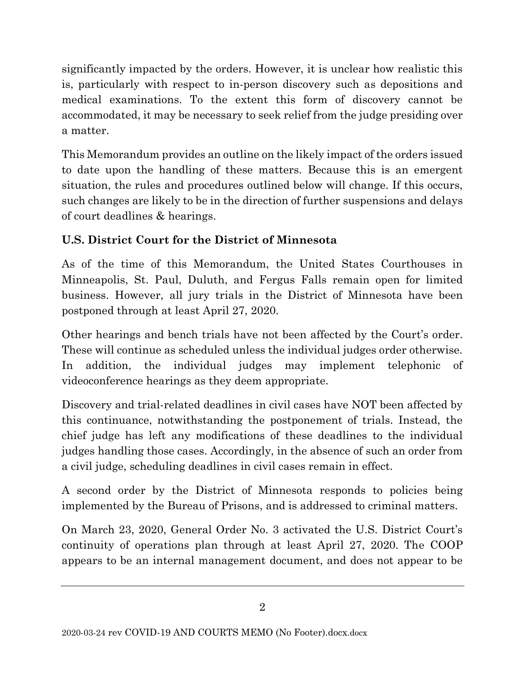significantly impacted by the orders. However, it is unclear how realistic this is, particularly with respect to in-person discovery such as depositions and medical examinations. To the extent this form of discovery cannot be accommodated, it may be necessary to seek relief from the judge presiding over a matter.

This Memorandum provides an outline on the likely impact of the orders issued to date upon the handling of these matters. Because this is an emergent situation, the rules and procedures outlined below will change. If this occurs, such changes are likely to be in the direction of further suspensions and delays of court deadlines & hearings.

## **U.S. District Court for the District of Minnesota**

As of the time of this Memorandum, the United States Courthouses in Minneapolis, St. Paul, Duluth, and Fergus Falls remain open for limited business. However, all jury trials in the District of Minnesota have been postponed through at least April 27, 2020.

Other hearings and bench trials have not been affected by the Court's order. These will continue as scheduled unless the individual judges order otherwise. In addition, the individual judges may implement telephonic of videoconference hearings as they deem appropriate.

Discovery and trial-related deadlines in civil cases have NOT been affected by this continuance, notwithstanding the postponement of trials. Instead, the chief judge has left any modifications of these deadlines to the individual judges handling those cases. Accordingly, in the absence of such an order from a civil judge, scheduling deadlines in civil cases remain in effect.

A second order by the District of Minnesota responds to policies being implemented by the Bureau of Prisons, and is addressed to criminal matters.

On March 23, 2020, General Order No. 3 activated the U.S. District Court's continuity of operations plan through at least April 27, 2020. The COOP appears to be an internal management document, and does not appear to be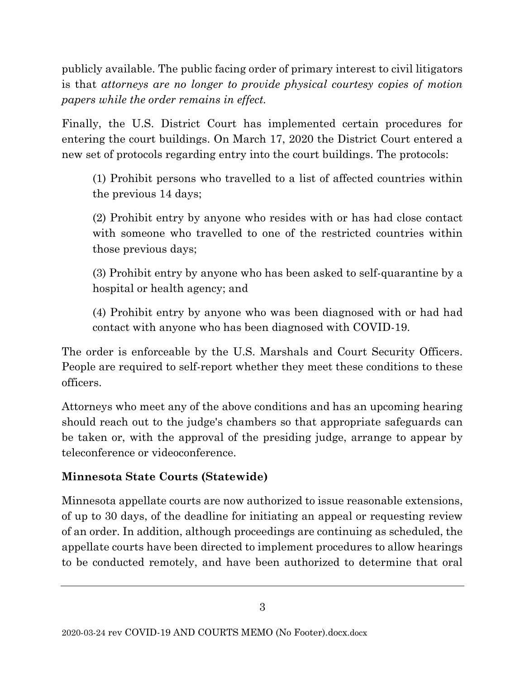publicly available. The public facing order of primary interest to civil litigators is that *attorneys are no longer to provide physical courtesy copies of motion papers while the order remains in effect.*

Finally, the U.S. District Court has implemented certain procedures for entering the court buildings. On March 17, 2020 the District Court entered a new set of protocols regarding entry into the court buildings. The protocols:

(1) Prohibit persons who travelled to a list of affected countries within the previous 14 days;

(2) Prohibit entry by anyone who resides with or has had close contact with someone who travelled to one of the restricted countries within those previous days;

(3) Prohibit entry by anyone who has been asked to self-quarantine by a hospital or health agency; and

(4) Prohibit entry by anyone who was been diagnosed with or had had contact with anyone who has been diagnosed with COVID-19.

The order is enforceable by the U.S. Marshals and Court Security Officers. People are required to self-report whether they meet these conditions to these officers.

Attorneys who meet any of the above conditions and has an upcoming hearing should reach out to the judge's chambers so that appropriate safeguards can be taken or, with the approval of the presiding judge, arrange to appear by teleconference or videoconference.

### **Minnesota State Courts (Statewide)**

Minnesota appellate courts are now authorized to issue reasonable extensions, of up to 30 days, of the deadline for initiating an appeal or requesting review of an order. In addition, although proceedings are continuing as scheduled, the appellate courts have been directed to implement procedures to allow hearings to be conducted remotely, and have been authorized to determine that oral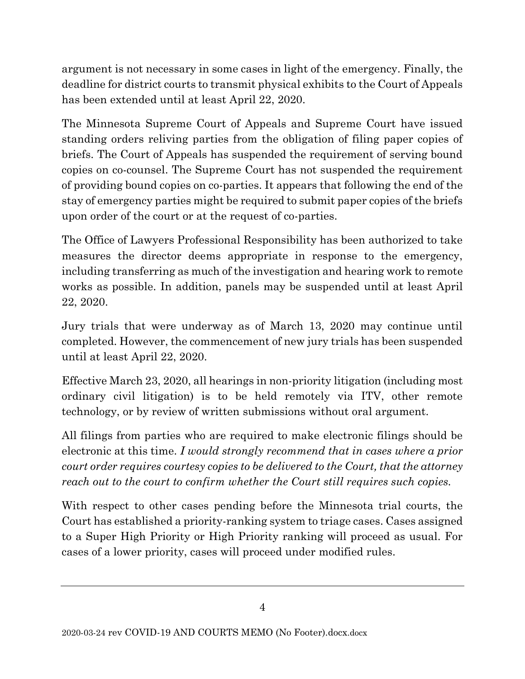argument is not necessary in some cases in light of the emergency. Finally, the deadline for district courts to transmit physical exhibits to the Court of Appeals has been extended until at least April 22, 2020.

The Minnesota Supreme Court of Appeals and Supreme Court have issued standing orders reliving parties from the obligation of filing paper copies of briefs. The Court of Appeals has suspended the requirement of serving bound copies on co-counsel. The Supreme Court has not suspended the requirement of providing bound copies on co-parties. It appears that following the end of the stay of emergency parties might be required to submit paper copies of the briefs upon order of the court or at the request of co-parties.

The Office of Lawyers Professional Responsibility has been authorized to take measures the director deems appropriate in response to the emergency, including transferring as much of the investigation and hearing work to remote works as possible. In addition, panels may be suspended until at least April 22, 2020.

Jury trials that were underway as of March 13, 2020 may continue until completed. However, the commencement of new jury trials has been suspended until at least April 22, 2020.

Effective March 23, 2020, all hearings in non-priority litigation (including most ordinary civil litigation) is to be held remotely via ITV, other remote technology, or by review of written submissions without oral argument.

All filings from parties who are required to make electronic filings should be electronic at this time. *I would strongly recommend that in cases where a prior court order requires courtesy copies to be delivered to the Court, that the attorney reach out to the court to confirm whether the Court still requires such copies.*

With respect to other cases pending before the Minnesota trial courts, the Court has established a priority-ranking system to triage cases. Cases assigned to a Super High Priority or High Priority ranking will proceed as usual. For cases of a lower priority, cases will proceed under modified rules.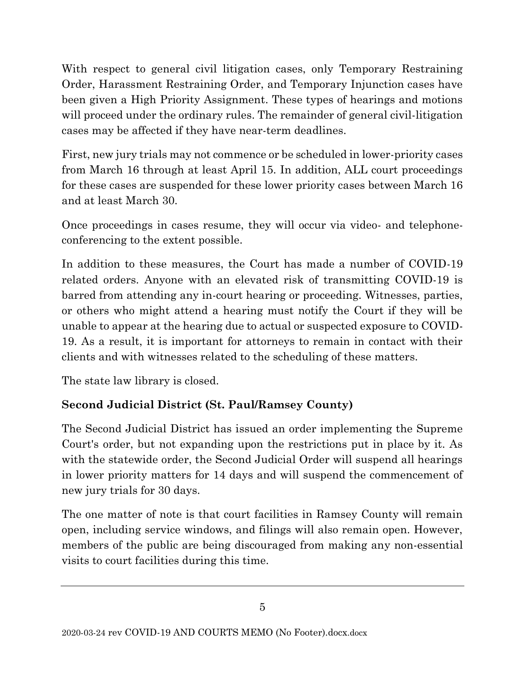With respect to general civil litigation cases, only Temporary Restraining Order, Harassment Restraining Order, and Temporary Injunction cases have been given a High Priority Assignment. These types of hearings and motions will proceed under the ordinary rules. The remainder of general civil-litigation cases may be affected if they have near-term deadlines.

First, new jury trials may not commence or be scheduled in lower-priority cases from March 16 through at least April 15. In addition, ALL court proceedings for these cases are suspended for these lower priority cases between March 16 and at least March 30.

Once proceedings in cases resume, they will occur via video- and telephoneconferencing to the extent possible.

In addition to these measures, the Court has made a number of COVID-19 related orders. Anyone with an elevated risk of transmitting COVID-19 is barred from attending any in-court hearing or proceeding. Witnesses, parties, or others who might attend a hearing must notify the Court if they will be unable to appear at the hearing due to actual or suspected exposure to COVID-19. As a result, it is important for attorneys to remain in contact with their clients and with witnesses related to the scheduling of these matters.

The state law library is closed.

## **Second Judicial District (St. Paul/Ramsey County)**

The Second Judicial District has issued an order implementing the Supreme Court's order, but not expanding upon the restrictions put in place by it. As with the statewide order, the Second Judicial Order will suspend all hearings in lower priority matters for 14 days and will suspend the commencement of new jury trials for 30 days.

The one matter of note is that court facilities in Ramsey County will remain open, including service windows, and filings will also remain open. However, members of the public are being discouraged from making any non-essential visits to court facilities during this time.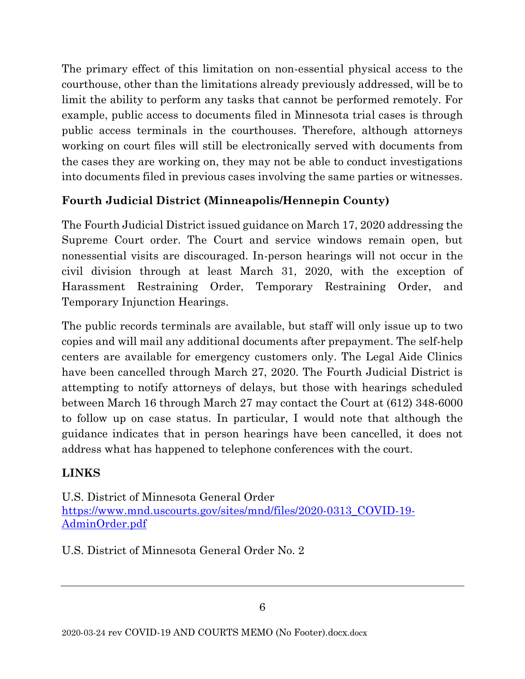The primary effect of this limitation on non-essential physical access to the courthouse, other than the limitations already previously addressed, will be to limit the ability to perform any tasks that cannot be performed remotely. For example, public access to documents filed in Minnesota trial cases is through public access terminals in the courthouses. Therefore, although attorneys working on court files will still be electronically served with documents from the cases they are working on, they may not be able to conduct investigations into documents filed in previous cases involving the same parties or witnesses.

### **Fourth Judicial District (Minneapolis/Hennepin County)**

The Fourth Judicial District issued guidance on March 17, 2020 addressing the Supreme Court order. The Court and service windows remain open, but nonessential visits are discouraged. In-person hearings will not occur in the civil division through at least March 31, 2020, with the exception of Harassment Restraining Order, Temporary Restraining Order, and Temporary Injunction Hearings.

The public records terminals are available, but staff will only issue up to two copies and will mail any additional documents after prepayment. The self-help centers are available for emergency customers only. The Legal Aide Clinics have been cancelled through March 27, 2020. The Fourth Judicial District is attempting to notify attorneys of delays, but those with hearings scheduled between March 16 through March 27 may contact the Court at (612) 348-6000 to follow up on case status. In particular, I would note that although the guidance indicates that in person hearings have been cancelled, it does not address what has happened to telephone conferences with the court.

# **LINKS**

U.S. District of Minnesota General Order [https://www.mnd.uscourts.gov/sites/mnd/files/2020-0313\\_COVID-19-](https://www.mnd.uscourts.gov/sites/mnd/files/2020-0313_COVID-19-AdminOrder.pdf) [AdminOrder.pdf](https://www.mnd.uscourts.gov/sites/mnd/files/2020-0313_COVID-19-AdminOrder.pdf)

U.S. District of Minnesota General Order No. 2